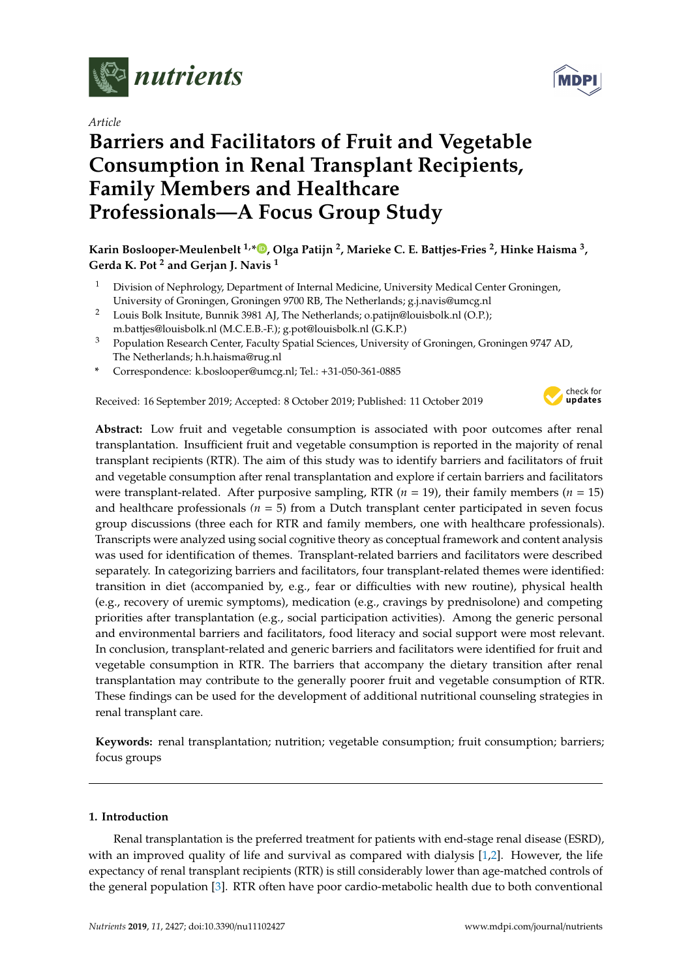

*Article*

# **Barriers and Facilitators of Fruit and Vegetable Consumption in Renal Transplant Recipients, Family Members and Healthcare Professionals—A Focus Group Study**



# **Karin Boslooper-Meulenbelt 1,\* [,](https://orcid.org/0000-0001-6936-7853) Olga Patijn <sup>2</sup> , Marieke C. E. Battjes-Fries <sup>2</sup> , Hinke Haisma <sup>3</sup> , Gerda K. Pot <sup>2</sup> and Gerjan J. Navis <sup>1</sup>**

- <sup>1</sup> Division of Nephrology, Department of Internal Medicine, University Medical Center Groningen, University of Groningen, Groningen 9700 RB, The Netherlands; g.j.navis@umcg.nl
- <sup>2</sup> Louis Bolk Insitute, Bunnik 3981 AJ, The Netherlands; o.patijn@louisbolk.nl (O.P.); m.battjes@louisbolk.nl (M.C.E.B.-F.); g.pot@louisbolk.nl (G.K.P.)
- <sup>3</sup> Population Research Center, Faculty Spatial Sciences, University of Groningen, Groningen 9747 AD, The Netherlands; h.h.haisma@rug.nl
- **\*** Correspondence: k.boslooper@umcg.nl; Tel.: +31-050-361-0885

Received: 16 September 2019; Accepted: 8 October 2019; Published: 11 October 2019



**Abstract:** Low fruit and vegetable consumption is associated with poor outcomes after renal transplantation. Insufficient fruit and vegetable consumption is reported in the majority of renal transplant recipients (RTR). The aim of this study was to identify barriers and facilitators of fruit and vegetable consumption after renal transplantation and explore if certain barriers and facilitators were transplant-related. After purposive sampling, RTR  $(n = 19)$ , their family members  $(n = 15)$ and healthcare professionals *(n* = 5) from a Dutch transplant center participated in seven focus group discussions (three each for RTR and family members, one with healthcare professionals). Transcripts were analyzed using social cognitive theory as conceptual framework and content analysis was used for identification of themes. Transplant-related barriers and facilitators were described separately. In categorizing barriers and facilitators, four transplant-related themes were identified: transition in diet (accompanied by, e.g., fear or difficulties with new routine), physical health (e.g., recovery of uremic symptoms), medication (e.g., cravings by prednisolone) and competing priorities after transplantation (e.g., social participation activities). Among the generic personal and environmental barriers and facilitators, food literacy and social support were most relevant. In conclusion, transplant-related and generic barriers and facilitators were identified for fruit and vegetable consumption in RTR. The barriers that accompany the dietary transition after renal transplantation may contribute to the generally poorer fruit and vegetable consumption of RTR. These findings can be used for the development of additional nutritional counseling strategies in renal transplant care.

**Keywords:** renal transplantation; nutrition; vegetable consumption; fruit consumption; barriers; focus groups

# **1. Introduction**

Renal transplantation is the preferred treatment for patients with end-stage renal disease (ESRD), with an improved quality of life and survival as compared with dialysis [\[1](#page-11-0)[,2\]](#page-11-1). However, the life expectancy of renal transplant recipients (RTR) is still considerably lower than age-matched controls of the general population [\[3\]](#page-11-2). RTR often have poor cardio-metabolic health due to both conventional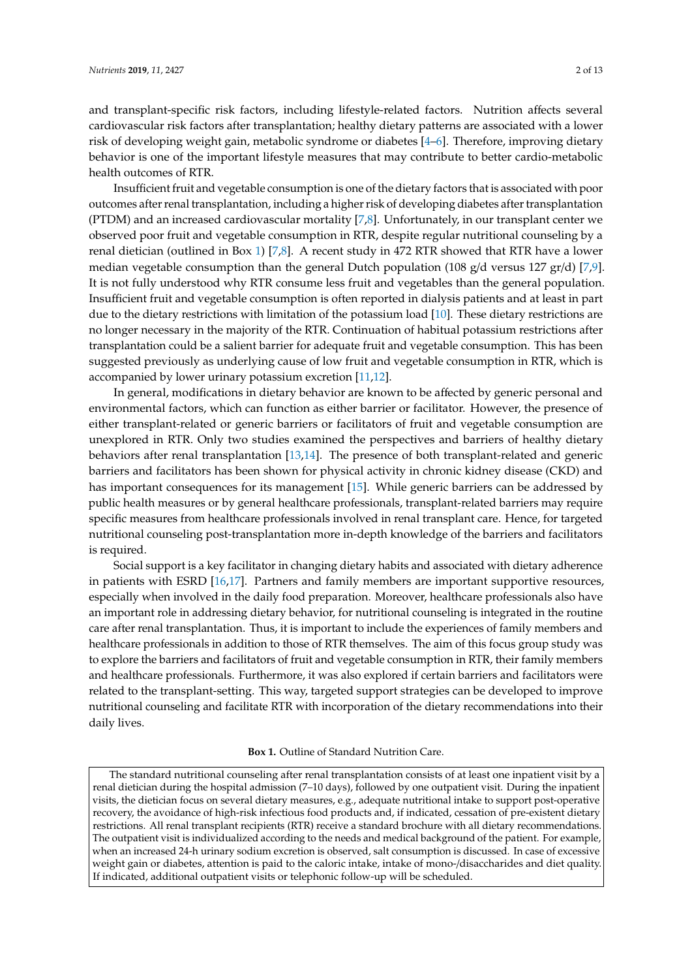and transplant-specific risk factors, including lifestyle-related factors. Nutrition affects several cardiovascular risk factors after transplantation; healthy dietary patterns are associated with a lower risk of developing weight gain, metabolic syndrome or diabetes [\[4](#page-11-3)[–6\]](#page-11-4). Therefore, improving dietary behavior is one of the important lifestyle measures that may contribute to better cardio-metabolic health outcomes of RTR.

Insufficient fruit and vegetable consumption is one of the dietary factors that is associated with poor outcomes after renal transplantation, including a higher risk of developing diabetes after transplantation (PTDM) and an increased cardiovascular mortality [\[7,](#page-11-5)[8\]](#page-11-6). Unfortunately, in our transplant center we observed poor fruit and vegetable consumption in RTR, despite regular nutritional counseling by a renal dietician (outlined in Box [1\)](#page-1-0) [\[7](#page-11-5)[,8\]](#page-11-6). A recent study in 472 RTR showed that RTR have a lower median vegetable consumption than the general Dutch population (108 g/d versus 127 gr/d) [\[7,](#page-11-5)[9\]](#page-11-7). It is not fully understood why RTR consume less fruit and vegetables than the general population. Insufficient fruit and vegetable consumption is often reported in dialysis patients and at least in part due to the dietary restrictions with limitation of the potassium load [\[10\]](#page-11-8). These dietary restrictions are no longer necessary in the majority of the RTR. Continuation of habitual potassium restrictions after transplantation could be a salient barrier for adequate fruit and vegetable consumption. This has been suggested previously as underlying cause of low fruit and vegetable consumption in RTR, which is accompanied by lower urinary potassium excretion [\[11](#page-11-9)[,12\]](#page-11-10).

In general, modifications in dietary behavior are known to be affected by generic personal and environmental factors, which can function as either barrier or facilitator. However, the presence of either transplant-related or generic barriers or facilitators of fruit and vegetable consumption are unexplored in RTR. Only two studies examined the perspectives and barriers of healthy dietary behaviors after renal transplantation [\[13,](#page-11-11)[14\]](#page-11-12). The presence of both transplant-related and generic barriers and facilitators has been shown for physical activity in chronic kidney disease (CKD) and has important consequences for its management [\[15\]](#page-11-13). While generic barriers can be addressed by public health measures or by general healthcare professionals, transplant-related barriers may require specific measures from healthcare professionals involved in renal transplant care. Hence, for targeted nutritional counseling post-transplantation more in-depth knowledge of the barriers and facilitators is required.

Social support is a key facilitator in changing dietary habits and associated with dietary adherence in patients with ESRD [\[16,](#page-11-14)[17\]](#page-11-15). Partners and family members are important supportive resources, especially when involved in the daily food preparation. Moreover, healthcare professionals also have an important role in addressing dietary behavior, for nutritional counseling is integrated in the routine care after renal transplantation. Thus, it is important to include the experiences of family members and healthcare professionals in addition to those of RTR themselves. The aim of this focus group study was to explore the barriers and facilitators of fruit and vegetable consumption in RTR, their family members and healthcare professionals. Furthermore, it was also explored if certain barriers and facilitators were related to the transplant-setting. This way, targeted support strategies can be developed to improve nutritional counseling and facilitate RTR with incorporation of the dietary recommendations into their daily lives.

#### **Box 1.** Outline of Standard Nutrition Care.

<span id="page-1-0"></span>The standard nutritional counseling after renal transplantation consists of at least one inpatient visit by a renal dietician during the hospital admission (7–10 days), followed by one outpatient visit. During the inpatient visits, the dietician focus on several dietary measures, e.g., adequate nutritional intake to support post-operative recovery, the avoidance of high-risk infectious food products and, if indicated, cessation of pre-existent dietary restrictions. All renal transplant recipients (RTR) receive a standard brochure with all dietary recommendations. The outpatient visit is individualized according to the needs and medical background of the patient. For example, when an increased 24-h urinary sodium excretion is observed, salt consumption is discussed. In case of excessive weight gain or diabetes, attention is paid to the caloric intake, intake of mono-/disaccharides and diet quality. If indicated, additional outpatient visits or telephonic follow-up will be scheduled.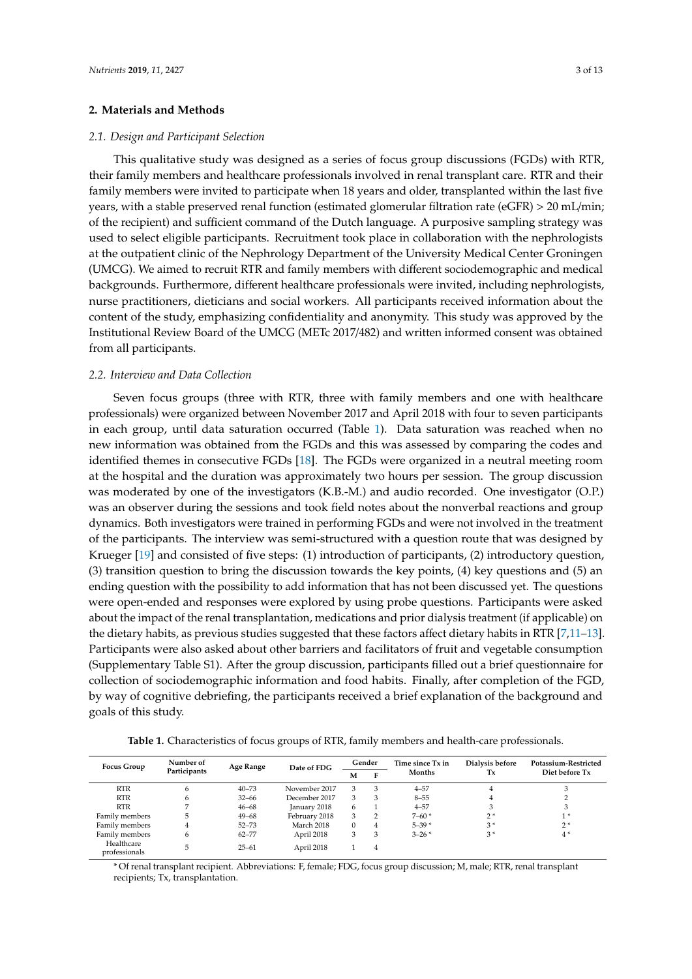#### **2. Materials and Methods**

#### *2.1. Design and Participant Selection*

This qualitative study was designed as a series of focus group discussions (FGDs) with RTR, their family members and healthcare professionals involved in renal transplant care. RTR and their family members were invited to participate when 18 years and older, transplanted within the last five years, with a stable preserved renal function (estimated glomerular filtration rate (eGFR) > 20 mL/min; of the recipient) and sufficient command of the Dutch language. A purposive sampling strategy was used to select eligible participants. Recruitment took place in collaboration with the nephrologists at the outpatient clinic of the Nephrology Department of the University Medical Center Groningen (UMCG). We aimed to recruit RTR and family members with different sociodemographic and medical backgrounds. Furthermore, different healthcare professionals were invited, including nephrologists, nurse practitioners, dieticians and social workers. All participants received information about the content of the study, emphasizing confidentiality and anonymity. This study was approved by the Institutional Review Board of the UMCG (METc 2017/482) and written informed consent was obtained from all participants.

# *2.2. Interview and Data Collection*

Seven focus groups (three with RTR, three with family members and one with healthcare professionals) were organized between November 2017 and April 2018 with four to seven participants in each group, until data saturation occurred (Table [1\)](#page-2-0). Data saturation was reached when no new information was obtained from the FGDs and this was assessed by comparing the codes and identified themes in consecutive FGDs [\[18\]](#page-11-16). The FGDs were organized in a neutral meeting room at the hospital and the duration was approximately two hours per session. The group discussion was moderated by one of the investigators (K.B.-M.) and audio recorded. One investigator (O.P.) was an observer during the sessions and took field notes about the nonverbal reactions and group dynamics. Both investigators were trained in performing FGDs and were not involved in the treatment of the participants. The interview was semi-structured with a question route that was designed by Krueger [\[19\]](#page-11-17) and consisted of five steps: (1) introduction of participants, (2) introductory question, (3) transition question to bring the discussion towards the key points, (4) key questions and (5) an ending question with the possibility to add information that has not been discussed yet. The questions were open-ended and responses were explored by using probe questions. Participants were asked about the impact of the renal transplantation, medications and prior dialysis treatment (if applicable) on the dietary habits, as previous studies suggested that these factors affect dietary habits in RTR [\[7,](#page-11-5)[11–](#page-11-9)[13\]](#page-11-11). Participants were also asked about other barriers and facilitators of fruit and vegetable consumption (Supplementary Table S1). After the group discussion, participants filled out a brief questionnaire for collection of sociodemographic information and food habits. Finally, after completion of the FGD, by way of cognitive debriefing, the participants received a brief explanation of the background and goals of this study.

<span id="page-2-0"></span>

| <b>Focus Group</b>          | Number of<br>Participants | Age Range | Date of FDG   | Gender   |                | Time since Tx in | Dialysis before | Potassium-Restricted |
|-----------------------------|---------------------------|-----------|---------------|----------|----------------|------------------|-----------------|----------------------|
|                             |                           |           |               | М        |                | Months           | Тx              | Diet before Tx       |
| <b>RTR</b>                  | 6                         | $40 - 73$ | November 2017 | 3        | 3              | $4 - 57$         | 4               |                      |
| <b>RTR</b>                  | 6                         | $32 - 66$ | December 2017 | 3        | 3              | $8 - 55$         | 4               |                      |
| <b>RTR</b>                  |                           | $46 - 68$ | January 2018  | 6        |                | $4 - 57$         | 3               |                      |
| Family members              |                           | $49 - 68$ | February 2018 | 3        | -2             | $7 - 60*$        | $2*$            | $1 *$                |
| Family members              |                           | $52 - 73$ | March 2018    | $\Omega$ | $\overline{4}$ | $5 - 39*$        | $3*$            | $2*$                 |
| Family members              | 6                         | $62 - 77$ | April 2018    | 3        | 3              | $3 - 26$ *       | $3*$            | $4*$                 |
| Healthcare<br>professionals |                           | $25 - 61$ | April 2018    |          | 4              |                  |                 |                      |

\* Of renal transplant recipient. Abbreviations: F, female; FDG, focus group discussion; M, male; RTR, renal transplant recipients; Tx, transplantation.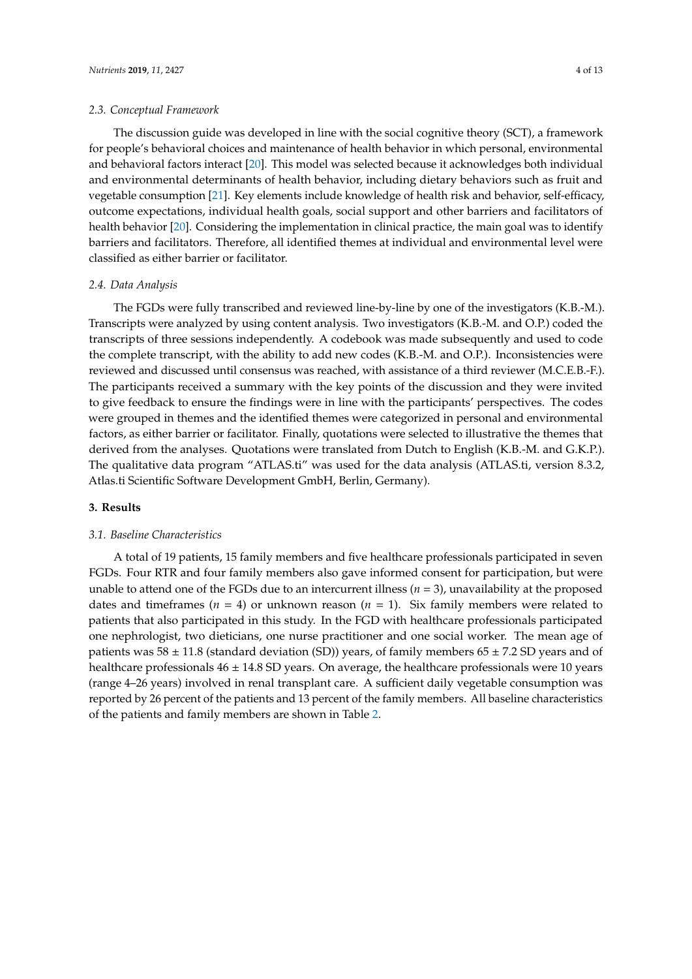#### *2.3. Conceptual Framework*

The discussion guide was developed in line with the social cognitive theory (SCT), a framework for people's behavioral choices and maintenance of health behavior in which personal, environmental and behavioral factors interact [\[20\]](#page-12-0). This model was selected because it acknowledges both individual and environmental determinants of health behavior, including dietary behaviors such as fruit and vegetable consumption [\[21\]](#page-12-1). Key elements include knowledge of health risk and behavior, self-efficacy, outcome expectations, individual health goals, social support and other barriers and facilitators of health behavior [\[20\]](#page-12-0). Considering the implementation in clinical practice, the main goal was to identify barriers and facilitators. Therefore, all identified themes at individual and environmental level were classified as either barrier or facilitator.

#### *2.4. Data Analysis*

The FGDs were fully transcribed and reviewed line-by-line by one of the investigators (K.B.-M.). Transcripts were analyzed by using content analysis. Two investigators (K.B.-M. and O.P.) coded the transcripts of three sessions independently. A codebook was made subsequently and used to code the complete transcript, with the ability to add new codes (K.B.-M. and O.P.). Inconsistencies were reviewed and discussed until consensus was reached, with assistance of a third reviewer (M.C.E.B.-F.). The participants received a summary with the key points of the discussion and they were invited to give feedback to ensure the findings were in line with the participants' perspectives. The codes were grouped in themes and the identified themes were categorized in personal and environmental factors, as either barrier or facilitator. Finally, quotations were selected to illustrative the themes that derived from the analyses. Quotations were translated from Dutch to English (K.B.-M. and G.K.P.). The qualitative data program "ATLAS.ti" was used for the data analysis (ATLAS.ti, version 8.3.2, Atlas.ti Scientific Software Development GmbH, Berlin, Germany).

#### **3. Results**

#### *3.1. Baseline Characteristics*

A total of 19 patients, 15 family members and five healthcare professionals participated in seven FGDs. Four RTR and four family members also gave informed consent for participation, but were unable to attend one of the FGDs due to an intercurrent illness ( $n = 3$ ), unavailability at the proposed dates and timeframes ( $n = 4$ ) or unknown reason ( $n = 1$ ). Six family members were related to patients that also participated in this study. In the FGD with healthcare professionals participated one nephrologist, two dieticians, one nurse practitioner and one social worker. The mean age of patients was  $58 \pm 11.8$  (standard deviation (SD)) years, of family members  $65 \pm 7.2$  SD years and of healthcare professionals  $46 \pm 14.8$  SD years. On average, the healthcare professionals were 10 years (range 4–26 years) involved in renal transplant care. A sufficient daily vegetable consumption was reported by 26 percent of the patients and 13 percent of the family members. All baseline characteristics of the patients and family members are shown in Table [2.](#page-4-0)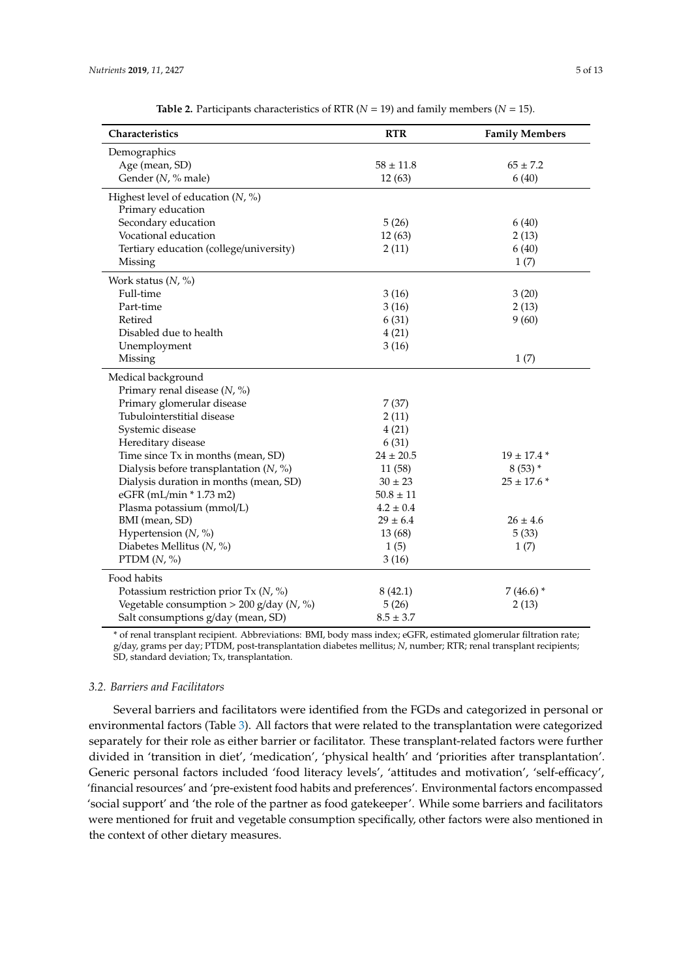<span id="page-4-0"></span>

| Characteristics                              | <b>RTR</b>    | <b>Family Members</b> |
|----------------------------------------------|---------------|-----------------------|
| Demographics                                 |               |                       |
| Age (mean, SD)                               | $58 \pm 11.8$ | $65 \pm 7.2$          |
| Gender (N, % male)                           | 12(63)        | 6(40)                 |
| Highest level of education $(N, %)$          |               |                       |
| Primary education                            |               |                       |
| Secondary education                          | 5(26)         | 6(40)                 |
| Vocational education                         | 12(63)        | 2(13)                 |
| Tertiary education (college/university)      | 2(11)         | 6(40)                 |
| Missing                                      |               | 1(7)                  |
| Work status $(N, %)$                         |               |                       |
| Full-time                                    | 3(16)         | 3(20)                 |
| Part-time                                    | 3(16)         | 2(13)                 |
| Retired                                      | 6(31)         | 9(60)                 |
| Disabled due to health                       | 4(21)         |                       |
| Unemployment                                 | 3(16)         |                       |
| Missing                                      |               | 1(7)                  |
| Medical background                           |               |                       |
| Primary renal disease $(N, %)$               |               |                       |
| Primary glomerular disease                   | 7(37)         |                       |
| Tubulointerstitial disease                   | 2(11)         |                       |
| Systemic disease                             | 4(21)         |                       |
| Hereditary disease                           | 6(31)         |                       |
| Time since Tx in months (mean, SD)           | $24 \pm 20.5$ | $19 \pm 17.4$ *       |
| Dialysis before transplantation $(N, %)$     | 11 (58)       | $8(53)*$              |
| Dialysis duration in months (mean, SD)       | $30\pm23$     | $25 \pm 17.6$ *       |
| eGFR (mL/min * 1.73 m2)                      | $50.8 \pm 11$ |                       |
| Plasma potassium (mmol/L)                    | $4.2 \pm 0.4$ |                       |
| BMI (mean, SD)                               | $29 \pm 6.4$  | $26 \pm 4.6$          |
| Hypertension $(N, %)$                        | 13 (68)       | 5(33)                 |
| Diabetes Mellitus (N, %)                     | 1(5)          | 1(7)                  |
| PTDM $(N, %)$                                | 3(16)         |                       |
| Food habits                                  |               |                       |
| Potassium restriction prior Tx $(N, %)$      | 8(42.1)       | $7(46.6)$ *           |
| Vegetable consumption > 200 g/day ( $N$ , %) | 5(26)         | 2(13)                 |
| Salt consumptions g/day (mean, SD)           | $8.5 \pm 3.7$ |                       |

**Table 2.** Participants characteristics of RTR ( $N = 19$ ) and family members ( $N = 15$ ).

\* of renal transplant recipient. Abbreviations: BMI, body mass index; eGFR, estimated glomerular filtration rate; g/day, grams per day; PTDM, post-transplantation diabetes mellitus; *N*, number; RTR; renal transplant recipients; SD, standard deviation; Tx, transplantation.

#### *3.2. Barriers and Facilitators*

Several barriers and facilitators were identified from the FGDs and categorized in personal or environmental factors (Table [3\)](#page-5-0). All factors that were related to the transplantation were categorized separately for their role as either barrier or facilitator. These transplant-related factors were further divided in 'transition in diet', 'medication', 'physical health' and 'priorities after transplantation'. Generic personal factors included 'food literacy levels', 'attitudes and motivation', 'self-efficacy', 'financial resources' and 'pre-existent food habits and preferences'. Environmental factors encompassed 'social support' and 'the role of the partner as food gatekeeper'. While some barriers and facilitators were mentioned for fruit and vegetable consumption specifically, other factors were also mentioned in the context of other dietary measures.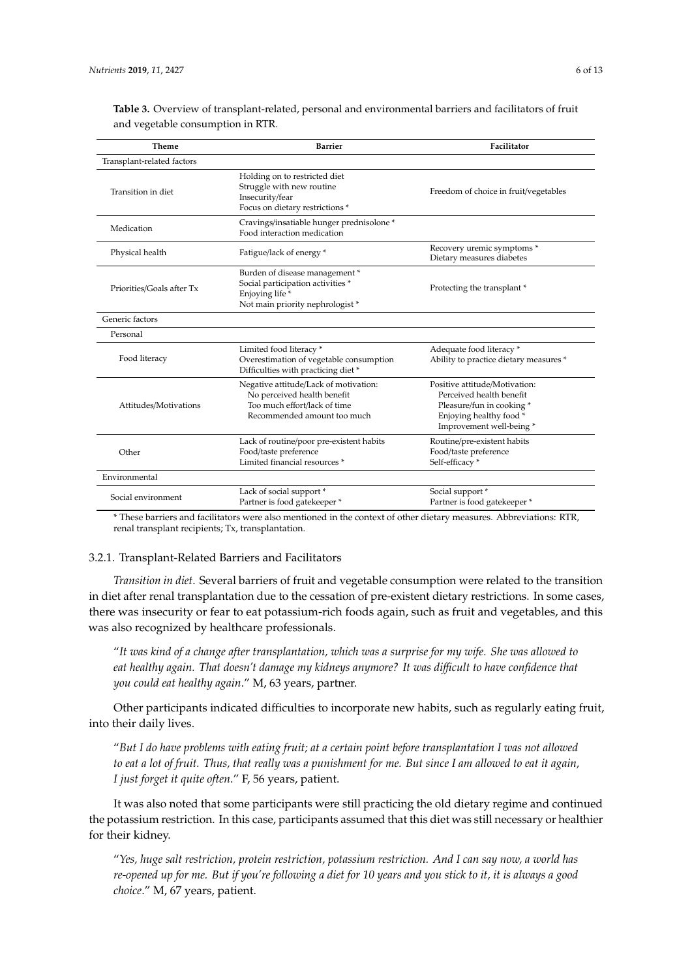| <b>Theme</b>               | <b>Barrier</b>                                                                                                                      | Facilitator                                                                                                                                  |
|----------------------------|-------------------------------------------------------------------------------------------------------------------------------------|----------------------------------------------------------------------------------------------------------------------------------------------|
| Transplant-related factors |                                                                                                                                     |                                                                                                                                              |
| Transition in diet         | Holding on to restricted diet<br>Struggle with new routine<br>Insecurity/fear<br>Focus on dietary restrictions *                    | Freedom of choice in fruit/vegetables                                                                                                        |
| Medication                 | Cravings/insatiable hunger prednisolone *<br>Food interaction medication                                                            |                                                                                                                                              |
| Physical health            | Fatigue/lack of energy *                                                                                                            | Recovery uremic symptoms *<br>Dietary measures diabetes                                                                                      |
| Priorities/Goals after Tx  | Burden of disease management *<br>Social participation activities *<br>Enjoying life*<br>Not main priority nephrologist*            | Protecting the transplant *                                                                                                                  |
| Generic factors            |                                                                                                                                     |                                                                                                                                              |
| Personal                   |                                                                                                                                     |                                                                                                                                              |
| Food literacy              | Limited food literacy*<br>Overestimation of vegetable consumption<br>Difficulties with practicing diet*                             | Adequate food literacy *<br>Ability to practice dietary measures *                                                                           |
| Attitudes/Motivations      | Negative attitude/Lack of motivation:<br>No perceived health benefit<br>Too much effort/lack of time<br>Recommended amount too much | Positive attitude/Motivation:<br>Perceived health benefit<br>Pleasure/fun in cooking *<br>Enjoying healthy food *<br>Improvement well-being* |
| Other                      | Lack of routine/poor pre-existent habits<br>Food/taste preference<br>Limited financial resources *                                  | Routine/pre-existent habits<br>Food/taste preference<br>Self-efficacy*                                                                       |
| Environmental              |                                                                                                                                     |                                                                                                                                              |
| Social environment         | Lack of social support*<br>Partner is food gatekeeper *                                                                             | Social support *<br>Partner is food gatekeeper *                                                                                             |

<span id="page-5-0"></span>**Table 3.** Overview of transplant-related, personal and environmental barriers and facilitators of fruit and vegetable consumption in RTR.

\* These barriers and facilitators were also mentioned in the context of other dietary measures. Abbreviations: RTR, renal transplant recipients; Tx, transplantation.

#### 3.2.1. Transplant-Related Barriers and Facilitators

*Transition in diet*. Several barriers of fruit and vegetable consumption were related to the transition in diet after renal transplantation due to the cessation of pre-existent dietary restrictions. In some cases, there was insecurity or fear to eat potassium-rich foods again, such as fruit and vegetables, and this was also recognized by healthcare professionals.

"*It was kind of a change after transplantation, which was a surprise for my wife. She was allowed to eat healthy again. That doesn't damage my kidneys anymore? It was di*ffi*cult to have confidence that you could eat healthy again*." M, 63 years, partner.

Other participants indicated difficulties to incorporate new habits, such as regularly eating fruit, into their daily lives.

"*But I do have problems with eating fruit; at a certain point before transplantation I was not allowed to eat a lot of fruit. Thus, that really was a punishment for me. But since I am allowed to eat it again, I just forget it quite often*." F, 56 years, patient.

It was also noted that some participants were still practicing the old dietary regime and continued the potassium restriction. In this case, participants assumed that this diet was still necessary or healthier for their kidney.

"*Yes, huge salt restriction, protein restriction, potassium restriction. And I can say now, a world has re-opened up for me. But if you're following a diet for 10 years and you stick to it, it is always a good choice*." M, 67 years, patient.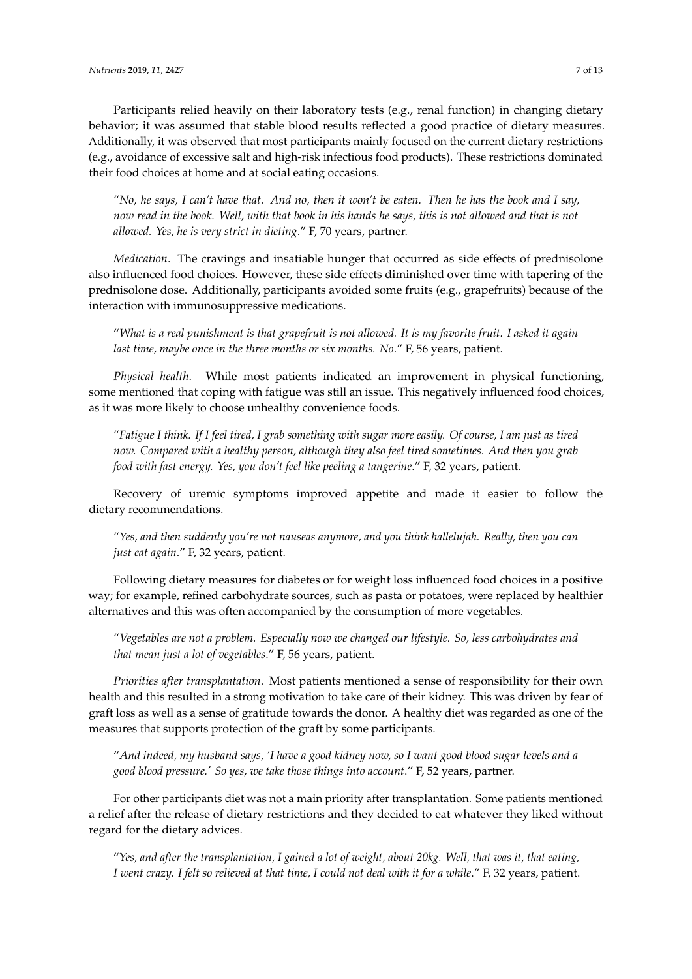Participants relied heavily on their laboratory tests (e.g., renal function) in changing dietary behavior; it was assumed that stable blood results reflected a good practice of dietary measures. Additionally, it was observed that most participants mainly focused on the current dietary restrictions (e.g., avoidance of excessive salt and high-risk infectious food products). These restrictions dominated their food choices at home and at social eating occasions.

"*No, he says, I can't have that. And no, then it won't be eaten. Then he has the book and I say, now read in the book. Well, with that book in his hands he says, this is not allowed and that is not allowed. Yes, he is very strict in dieting*." F, 70 years, partner.

*Medication*. The cravings and insatiable hunger that occurred as side effects of prednisolone also influenced food choices. However, these side effects diminished over time with tapering of the prednisolone dose. Additionally, participants avoided some fruits (e.g., grapefruits) because of the interaction with immunosuppressive medications.

"*What is a real punishment is that grapefruit is not allowed. It is my favorite fruit. I asked it again last time, maybe once in the three months or six months. No*." F, 56 years, patient.

*Physical health*. While most patients indicated an improvement in physical functioning, some mentioned that coping with fatigue was still an issue. This negatively influenced food choices, as it was more likely to choose unhealthy convenience foods.

"*Fatigue I think. If I feel tired, I grab something with sugar more easily. Of course, I am just as tired now. Compared with a healthy person, although they also feel tired sometimes. And then you grab food with fast energy. Yes, you don't feel like peeling a tangerine*." F, 32 years, patient.

Recovery of uremic symptoms improved appetite and made it easier to follow the dietary recommendations.

"*Yes, and then suddenly you're not nauseas anymore, and you think hallelujah. Really, then you can just eat again*." F, 32 years, patient.

Following dietary measures for diabetes or for weight loss influenced food choices in a positive way; for example, refined carbohydrate sources, such as pasta or potatoes, were replaced by healthier alternatives and this was often accompanied by the consumption of more vegetables.

"*Vegetables are not a problem. Especially now we changed our lifestyle. So, less carbohydrates and that mean just a lot of vegetables*." F, 56 years, patient.

*Priorities after transplantation*. Most patients mentioned a sense of responsibility for their own health and this resulted in a strong motivation to take care of their kidney. This was driven by fear of graft loss as well as a sense of gratitude towards the donor. A healthy diet was regarded as one of the measures that supports protection of the graft by some participants.

"*And indeed, my husband says, 'I have a good kidney now, so I want good blood sugar levels and a good blood pressure.' So yes, we take those things into account*." F, 52 years, partner.

For other participants diet was not a main priority after transplantation. Some patients mentioned a relief after the release of dietary restrictions and they decided to eat whatever they liked without regard for the dietary advices.

"*Yes, and after the transplantation, I gained a lot of weight, about 20kg. Well, that was it, that eating, I went crazy. I felt so relieved at that time, I could not deal with it for a while*." F, 32 years, patient.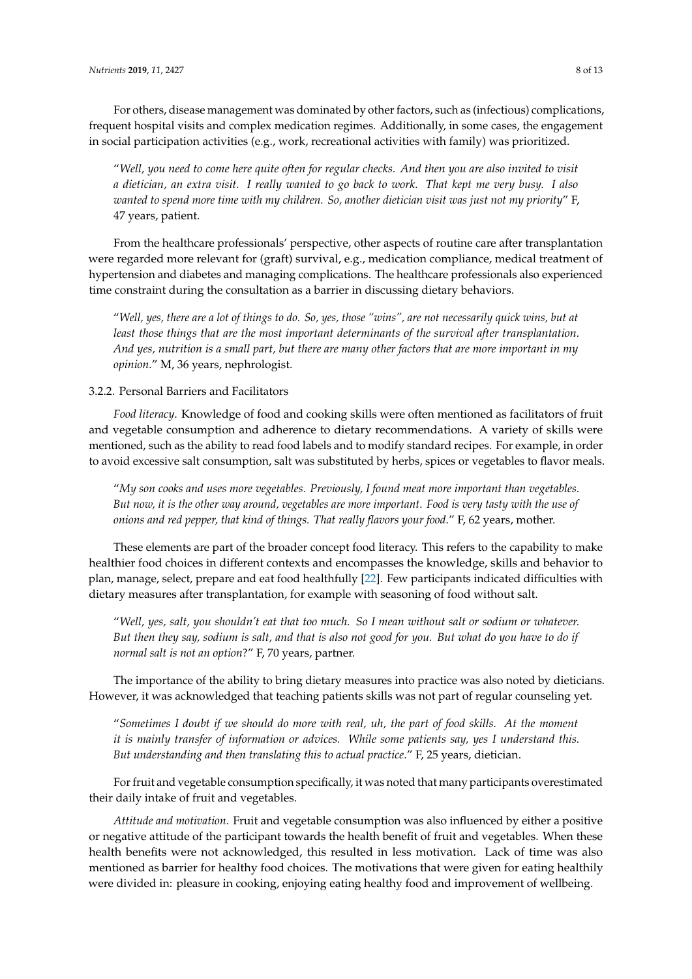For others, disease management was dominated by other factors, such as (infectious) complications, frequent hospital visits and complex medication regimes. Additionally, in some cases, the engagement in social participation activities (e.g., work, recreational activities with family) was prioritized.

"*Well, you need to come here quite often for regular checks. And then you are also invited to visit a dietician, an extra visit. I really wanted to go back to work. That kept me very busy. I also wanted to spend more time with my children. So, another dietician visit was just not my priority*" F, 47 years, patient.

From the healthcare professionals' perspective, other aspects of routine care after transplantation were regarded more relevant for (graft) survival, e.g., medication compliance, medical treatment of hypertension and diabetes and managing complications. The healthcare professionals also experienced time constraint during the consultation as a barrier in discussing dietary behaviors.

"*Well, yes, there are a lot of things to do. So, yes, those "wins", are not necessarily quick wins, but at least those things that are the most important determinants of the survival after transplantation. And yes, nutrition is a small part, but there are many other factors that are more important in my opinion*." M, 36 years, nephrologist.

#### 3.2.2. Personal Barriers and Facilitators

*Food literacy*. Knowledge of food and cooking skills were often mentioned as facilitators of fruit and vegetable consumption and adherence to dietary recommendations. A variety of skills were mentioned, such as the ability to read food labels and to modify standard recipes. For example, in order to avoid excessive salt consumption, salt was substituted by herbs, spices or vegetables to flavor meals.

"*My son cooks and uses more vegetables. Previously, I found meat more important than vegetables. But now, it is the other way around, vegetables are more important. Food is very tasty with the use of onions and red pepper, that kind of things. That really flavors your food*." F, 62 years, mother.

These elements are part of the broader concept food literacy. This refers to the capability to make healthier food choices in different contexts and encompasses the knowledge, skills and behavior to plan, manage, select, prepare and eat food healthfully [\[22\]](#page-12-2). Few participants indicated difficulties with dietary measures after transplantation, for example with seasoning of food without salt.

"*Well, yes, salt, you shouldn't eat that too much. So I mean without salt or sodium or whatever. But then they say, sodium is salt, and that is also not good for you. But what do you have to do if normal salt is not an option*?" F, 70 years, partner.

The importance of the ability to bring dietary measures into practice was also noted by dieticians. However, it was acknowledged that teaching patients skills was not part of regular counseling yet.

"*Sometimes I doubt if we should do more with real, uh, the part of food skills. At the moment it is mainly transfer of information or advices. While some patients say, yes I understand this. But understanding and then translating this to actual practice*." F, 25 years, dietician.

For fruit and vegetable consumption specifically, it was noted that many participants overestimated their daily intake of fruit and vegetables.

*Attitude and motivation*. Fruit and vegetable consumption was also influenced by either a positive or negative attitude of the participant towards the health benefit of fruit and vegetables. When these health benefits were not acknowledged, this resulted in less motivation. Lack of time was also mentioned as barrier for healthy food choices. The motivations that were given for eating healthily were divided in: pleasure in cooking, enjoying eating healthy food and improvement of wellbeing.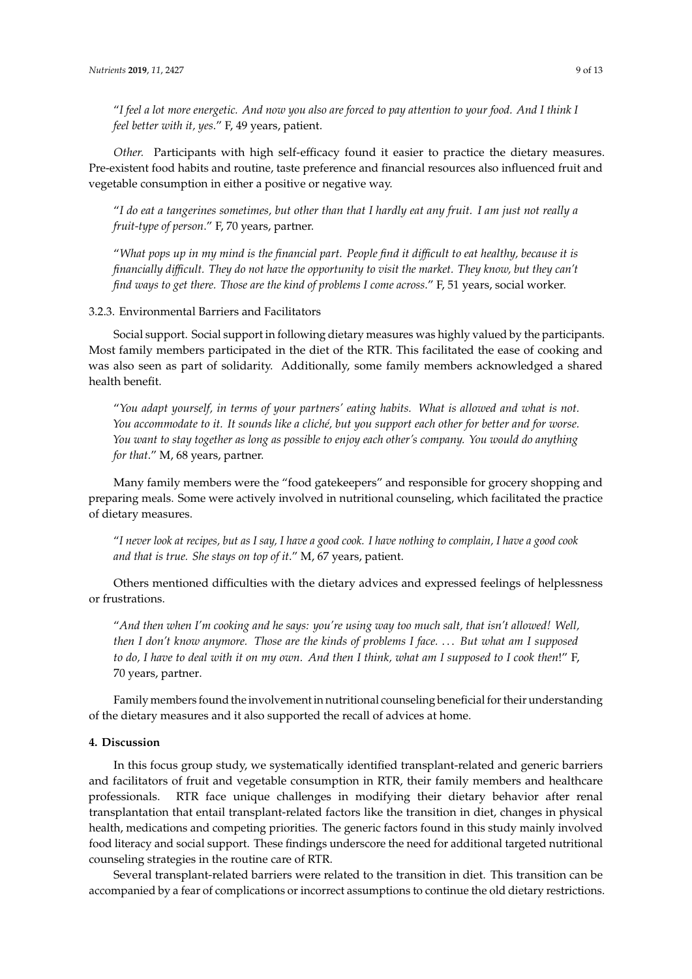"*I feel a lot more energetic. And now you also are forced to pay attention to your food. And I think I feel better with it, yes*." F, 49 years, patient.

*Other.* Participants with high self-efficacy found it easier to practice the dietary measures. Pre-existent food habits and routine, taste preference and financial resources also influenced fruit and vegetable consumption in either a positive or negative way.

"*I do eat a tangerines sometimes, but other than that I hardly eat any fruit. I am just not really a fruit-type of person*." F, 70 years, partner.

"*What pops up in my mind is the financial part. People find it di*ffi*cult to eat healthy, because it is financially di*ffi*cult. They do not have the opportunity to visit the market. They know, but they can't find ways to get there. Those are the kind of problems I come across*." F, 51 years, social worker.

#### 3.2.3. Environmental Barriers and Facilitators

Social support. Social support in following dietary measures was highly valued by the participants. Most family members participated in the diet of the RTR. This facilitated the ease of cooking and was also seen as part of solidarity. Additionally, some family members acknowledged a shared health benefit.

"*You adapt yourself, in terms of your partners' eating habits. What is allowed and what is not. You accommodate to it. It sounds like a cliché, but you support each other for better and for worse. You want to stay together as long as possible to enjoy each other's company. You would do anything for that*." M, 68 years, partner.

Many family members were the "food gatekeepers" and responsible for grocery shopping and preparing meals. Some were actively involved in nutritional counseling, which facilitated the practice of dietary measures.

"*I never look at recipes, but as I say, I have a good cook. I have nothing to complain, I have a good cook and that is true. She stays on top of it*." M, 67 years, patient.

Others mentioned difficulties with the dietary advices and expressed feelings of helplessness or frustrations.

"*And then when I'm cooking and he says: you're using way too much salt, that isn't allowed! Well, then I don't know anymore. Those are the kinds of problems I face.* . . . *But what am I supposed to do, I have to deal with it on my own. And then I think, what am I supposed to I cook then*!" F, 70 years, partner.

Family members found the involvement in nutritional counseling beneficial for their understanding of the dietary measures and it also supported the recall of advices at home.

# **4. Discussion**

In this focus group study, we systematically identified transplant-related and generic barriers and facilitators of fruit and vegetable consumption in RTR, their family members and healthcare professionals. RTR face unique challenges in modifying their dietary behavior after renal transplantation that entail transplant-related factors like the transition in diet, changes in physical health, medications and competing priorities. The generic factors found in this study mainly involved food literacy and social support. These findings underscore the need for additional targeted nutritional counseling strategies in the routine care of RTR.

Several transplant-related barriers were related to the transition in diet. This transition can be accompanied by a fear of complications or incorrect assumptions to continue the old dietary restrictions.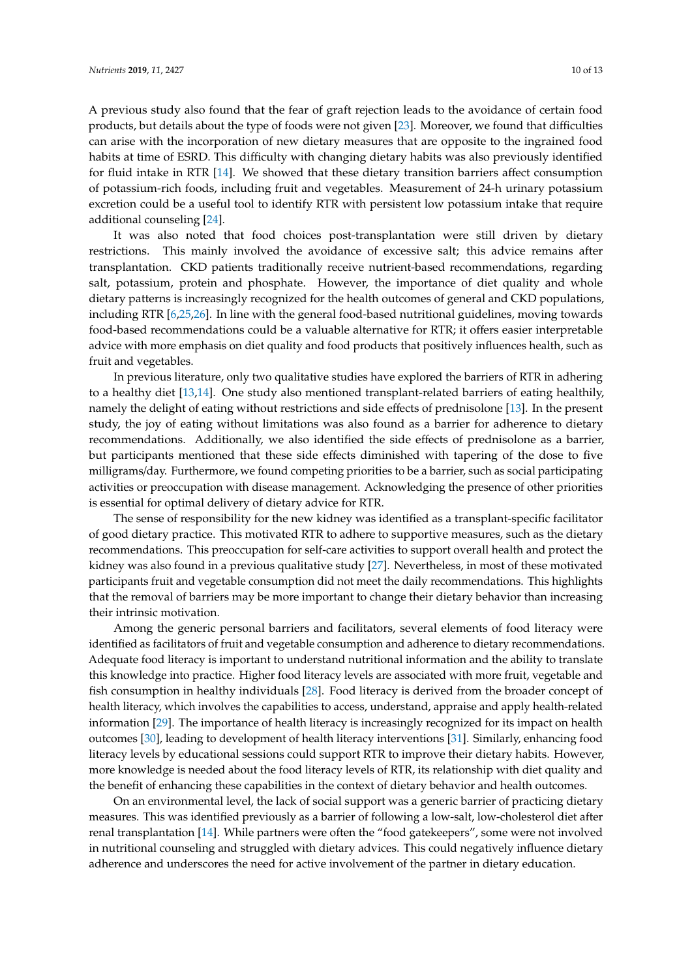A previous study also found that the fear of graft rejection leads to the avoidance of certain food products, but details about the type of foods were not given [\[23\]](#page-12-3). Moreover, we found that difficulties can arise with the incorporation of new dietary measures that are opposite to the ingrained food habits at time of ESRD. This difficulty with changing dietary habits was also previously identified for fluid intake in RTR [\[14\]](#page-11-12). We showed that these dietary transition barriers affect consumption of potassium-rich foods, including fruit and vegetables. Measurement of 24-h urinary potassium excretion could be a useful tool to identify RTR with persistent low potassium intake that require additional counseling [\[24\]](#page-12-4).

It was also noted that food choices post-transplantation were still driven by dietary restrictions. This mainly involved the avoidance of excessive salt; this advice remains after transplantation. CKD patients traditionally receive nutrient-based recommendations, regarding salt, potassium, protein and phosphate. However, the importance of diet quality and whole dietary patterns is increasingly recognized for the health outcomes of general and CKD populations, including RTR [\[6](#page-11-4)[,25](#page-12-5)[,26\]](#page-12-6). In line with the general food-based nutritional guidelines, moving towards food-based recommendations could be a valuable alternative for RTR; it offers easier interpretable advice with more emphasis on diet quality and food products that positively influences health, such as fruit and vegetables.

In previous literature, only two qualitative studies have explored the barriers of RTR in adhering to a healthy diet [\[13](#page-11-11)[,14\]](#page-11-12). One study also mentioned transplant-related barriers of eating healthily, namely the delight of eating without restrictions and side effects of prednisolone [\[13\]](#page-11-11). In the present study, the joy of eating without limitations was also found as a barrier for adherence to dietary recommendations. Additionally, we also identified the side effects of prednisolone as a barrier, but participants mentioned that these side effects diminished with tapering of the dose to five milligrams/day. Furthermore, we found competing priorities to be a barrier, such as social participating activities or preoccupation with disease management. Acknowledging the presence of other priorities is essential for optimal delivery of dietary advice for RTR.

The sense of responsibility for the new kidney was identified as a transplant-specific facilitator of good dietary practice. This motivated RTR to adhere to supportive measures, such as the dietary recommendations. This preoccupation for self-care activities to support overall health and protect the kidney was also found in a previous qualitative study [\[27\]](#page-12-7). Nevertheless, in most of these motivated participants fruit and vegetable consumption did not meet the daily recommendations. This highlights that the removal of barriers may be more important to change their dietary behavior than increasing their intrinsic motivation.

Among the generic personal barriers and facilitators, several elements of food literacy were identified as facilitators of fruit and vegetable consumption and adherence to dietary recommendations. Adequate food literacy is important to understand nutritional information and the ability to translate this knowledge into practice. Higher food literacy levels are associated with more fruit, vegetable and fish consumption in healthy individuals [\[28\]](#page-12-8). Food literacy is derived from the broader concept of health literacy, which involves the capabilities to access, understand, appraise and apply health-related information [\[29\]](#page-12-9). The importance of health literacy is increasingly recognized for its impact on health outcomes [\[30\]](#page-12-10), leading to development of health literacy interventions [\[31\]](#page-12-11). Similarly, enhancing food literacy levels by educational sessions could support RTR to improve their dietary habits. However, more knowledge is needed about the food literacy levels of RTR, its relationship with diet quality and the benefit of enhancing these capabilities in the context of dietary behavior and health outcomes.

On an environmental level, the lack of social support was a generic barrier of practicing dietary measures. This was identified previously as a barrier of following a low-salt, low-cholesterol diet after renal transplantation [\[14\]](#page-11-12). While partners were often the "food gatekeepers", some were not involved in nutritional counseling and struggled with dietary advices. This could negatively influence dietary adherence and underscores the need for active involvement of the partner in dietary education.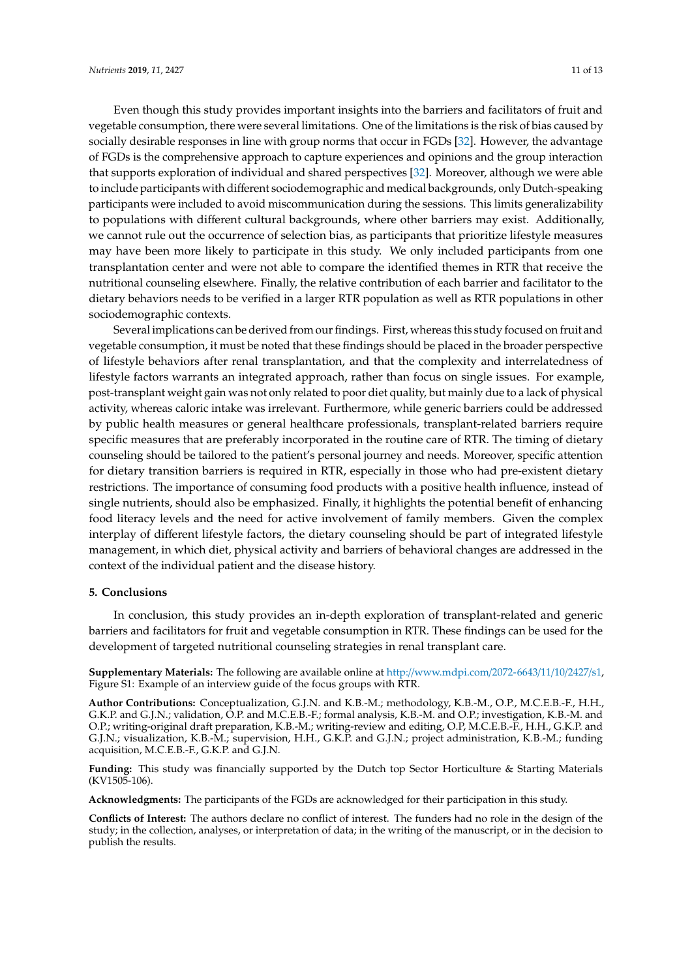Even though this study provides important insights into the barriers and facilitators of fruit and vegetable consumption, there were several limitations. One of the limitations is the risk of bias caused by socially desirable responses in line with group norms that occur in FGDs [\[32\]](#page-12-12). However, the advantage of FGDs is the comprehensive approach to capture experiences and opinions and the group interaction that supports exploration of individual and shared perspectives [\[32\]](#page-12-12). Moreover, although we were able to include participants with different sociodemographic and medical backgrounds, only Dutch-speaking participants were included to avoid miscommunication during the sessions. This limits generalizability to populations with different cultural backgrounds, where other barriers may exist. Additionally, we cannot rule out the occurrence of selection bias, as participants that prioritize lifestyle measures may have been more likely to participate in this study. We only included participants from one transplantation center and were not able to compare the identified themes in RTR that receive the nutritional counseling elsewhere. Finally, the relative contribution of each barrier and facilitator to the dietary behaviors needs to be verified in a larger RTR population as well as RTR populations in other sociodemographic contexts.

Several implications can be derived from our findings. First, whereas this study focused on fruit and vegetable consumption, it must be noted that these findings should be placed in the broader perspective of lifestyle behaviors after renal transplantation, and that the complexity and interrelatedness of lifestyle factors warrants an integrated approach, rather than focus on single issues. For example, post-transplant weight gain was not only related to poor diet quality, but mainly due to a lack of physical activity, whereas caloric intake was irrelevant. Furthermore, while generic barriers could be addressed by public health measures or general healthcare professionals, transplant-related barriers require specific measures that are preferably incorporated in the routine care of RTR. The timing of dietary counseling should be tailored to the patient's personal journey and needs. Moreover, specific attention for dietary transition barriers is required in RTR, especially in those who had pre-existent dietary restrictions. The importance of consuming food products with a positive health influence, instead of single nutrients, should also be emphasized. Finally, it highlights the potential benefit of enhancing food literacy levels and the need for active involvement of family members. Given the complex interplay of different lifestyle factors, the dietary counseling should be part of integrated lifestyle management, in which diet, physical activity and barriers of behavioral changes are addressed in the context of the individual patient and the disease history.

#### **5. Conclusions**

In conclusion, this study provides an in-depth exploration of transplant-related and generic barriers and facilitators for fruit and vegetable consumption in RTR. These findings can be used for the development of targeted nutritional counseling strategies in renal transplant care.

**Supplementary Materials:** The following are available online at http://[www.mdpi.com](http://www.mdpi.com/2072-6643/11/10/2427/s1)/2072-6643/11/10/2427/s1, Figure S1: Example of an interview guide of the focus groups with RTR.

**Author Contributions:** Conceptualization, G.J.N. and K.B.-M.; methodology, K.B.-M., O.P., M.C.E.B.-F., H.H., G.K.P. and G.J.N.; validation, O.P. and M.C.E.B.-F.; formal analysis, K.B.-M. and O.P.; investigation, K.B.-M. and O.P.; writing-original draft preparation, K.B.-M.; writing-review and editing, O.P, M.C.E.B.-F., H.H., G.K.P. and G.J.N.; visualization, K.B.-M.; supervision, H.H., G.K.P. and G.J.N.; project administration, K.B.-M.; funding acquisition, M.C.E.B.-F., G.K.P. and G.J.N.

**Funding:** This study was financially supported by the Dutch top Sector Horticulture & Starting Materials (KV1505-106).

**Acknowledgments:** The participants of the FGDs are acknowledged for their participation in this study.

**Conflicts of Interest:** The authors declare no conflict of interest. The funders had no role in the design of the study; in the collection, analyses, or interpretation of data; in the writing of the manuscript, or in the decision to publish the results.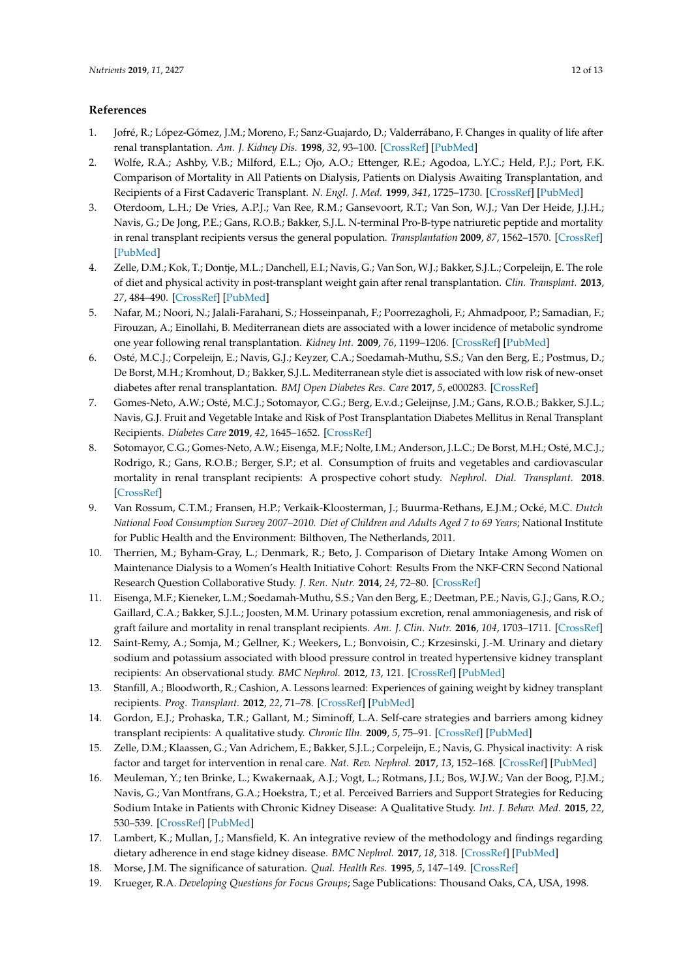### **References**

- <span id="page-11-0"></span>1. Jofré, R.; López-Gómez, J.M.; Moreno, F.; Sanz-Guajardo, D.; Valderrábano, F. Changes in quality of life after renal transplantation. *Am. J. Kidney Dis.* **1998**, *32*, 93–100. [\[CrossRef\]](http://dx.doi.org/10.1053/ajkd.1998.v32.pm9669429) [\[PubMed\]](http://www.ncbi.nlm.nih.gov/pubmed/9669429)
- <span id="page-11-1"></span>2. Wolfe, R.A.; Ashby, V.B.; Milford, E.L.; Ojo, A.O.; Ettenger, R.E.; Agodoa, L.Y.C.; Held, P.J.; Port, F.K. Comparison of Mortality in All Patients on Dialysis, Patients on Dialysis Awaiting Transplantation, and Recipients of a First Cadaveric Transplant. *N. Engl. J. Med.* **1999**, *341*, 1725–1730. [\[CrossRef\]](http://dx.doi.org/10.1056/NEJM199912023412303) [\[PubMed\]](http://www.ncbi.nlm.nih.gov/pubmed/10580071)
- <span id="page-11-2"></span>3. Oterdoom, L.H.; De Vries, A.P.J.; Van Ree, R.M.; Gansevoort, R.T.; Van Son, W.J.; Van Der Heide, J.J.H.; Navis, G.; De Jong, P.E.; Gans, R.O.B.; Bakker, S.J.L. N-terminal Pro-B-type natriuretic peptide and mortality in renal transplant recipients versus the general population. *Transplantation* **2009**, *87*, 1562–1570. [\[CrossRef\]](http://dx.doi.org/10.1097/TP.0b013e3181a4bb80) [\[PubMed\]](http://www.ncbi.nlm.nih.gov/pubmed/19461495)
- <span id="page-11-3"></span>4. Zelle, D.M.; Kok, T.; Dontje, M.L.; Danchell, E.I.; Navis, G.; Van Son, W.J.; Bakker, S.J.L.; Corpeleijn, E. The role of diet and physical activity in post-transplant weight gain after renal transplantation. *Clin. Transplant.* **2013**, *27*, 484–490. [\[CrossRef\]](http://dx.doi.org/10.1111/ctr.12149) [\[PubMed\]](http://www.ncbi.nlm.nih.gov/pubmed/23758229)
- 5. Nafar, M.; Noori, N.; Jalali-Farahani, S.; Hosseinpanah, F.; Poorrezagholi, F.; Ahmadpoor, P.; Samadian, F.; Firouzan, A.; Einollahi, B. Mediterranean diets are associated with a lower incidence of metabolic syndrome one year following renal transplantation. *Kidney Int.* **2009**, *76*, 1199–1206. [\[CrossRef\]](http://dx.doi.org/10.1038/ki.2009.343) [\[PubMed\]](http://www.ncbi.nlm.nih.gov/pubmed/19741589)
- <span id="page-11-4"></span>6. Osté, M.C.J.; Corpeleijn, E.; Navis, G.J.; Keyzer, C.A.; Soedamah-Muthu, S.S.; Van den Berg, E.; Postmus, D.; De Borst, M.H.; Kromhout, D.; Bakker, S.J.L. Mediterranean style diet is associated with low risk of new-onset diabetes after renal transplantation. *BMJ Open Diabetes Res. Care* **2017**, *5*, e000283. [\[CrossRef\]](http://dx.doi.org/10.1136/bmjdrc-2016-000283)
- <span id="page-11-5"></span>7. Gomes-Neto, A.W.; Osté, M.C.J.; Sotomayor, C.G.; Berg, E.v.d.; Geleijnse, J.M.; Gans, R.O.B.; Bakker, S.J.L.; Navis, G.J. Fruit and Vegetable Intake and Risk of Post Transplantation Diabetes Mellitus in Renal Transplant Recipients. *Diabetes Care* **2019**, *42*, 1645–1652. [\[CrossRef\]](http://dx.doi.org/10.2337/dc19-0224)
- <span id="page-11-6"></span>8. Sotomayor, C.G.; Gomes-Neto, A.W.; Eisenga, M.F.; Nolte, I.M.; Anderson, J.L.C.; De Borst, M.H.; Osté, M.C.J.; Rodrigo, R.; Gans, R.O.B.; Berger, S.P.; et al. Consumption of fruits and vegetables and cardiovascular mortality in renal transplant recipients: A prospective cohort study. *Nephrol. Dial. Transplant.* **2018**. [\[CrossRef\]](http://dx.doi.org/10.1093/ndt/gfy248)
- <span id="page-11-7"></span>9. Van Rossum, C.T.M.; Fransen, H.P.; Verkaik-Kloosterman, J.; Buurma-Rethans, E.J.M.; Ocké, M.C. *Dutch National Food Consumption Survey 2007–2010. Diet of Children and Adults Aged 7 to 69 Years*; National Institute for Public Health and the Environment: Bilthoven, The Netherlands, 2011.
- <span id="page-11-8"></span>10. Therrien, M.; Byham-Gray, L.; Denmark, R.; Beto, J. Comparison of Dietary Intake Among Women on Maintenance Dialysis to a Women's Health Initiative Cohort: Results From the NKF-CRN Second National Research Question Collaborative Study. *J. Ren. Nutr.* **2014**, *24*, 72–80. [\[CrossRef\]](http://dx.doi.org/10.1053/j.jrn.2013.09.005)
- <span id="page-11-9"></span>11. Eisenga, M.F.; Kieneker, L.M.; Soedamah-Muthu, S.S.; Van den Berg, E.; Deetman, P.E.; Navis, G.J.; Gans, R.O.; Gaillard, C.A.; Bakker, S.J.L.; Joosten, M.M. Urinary potassium excretion, renal ammoniagenesis, and risk of graft failure and mortality in renal transplant recipients. *Am. J. Clin. Nutr.* **2016**, *104*, 1703–1711. [\[CrossRef\]](http://dx.doi.org/10.3945/ajcn.116.134056)
- <span id="page-11-10"></span>12. Saint-Remy, A.; Somja, M.; Gellner, K.; Weekers, L.; Bonvoisin, C.; Krzesinski, J.-M. Urinary and dietary sodium and potassium associated with blood pressure control in treated hypertensive kidney transplant recipients: An observational study. *BMC Nephrol.* **2012**, *13*, 121. [\[CrossRef\]](http://dx.doi.org/10.1186/1471-2369-13-121) [\[PubMed\]](http://www.ncbi.nlm.nih.gov/pubmed/23013269)
- <span id="page-11-11"></span>13. Stanfill, A.; Bloodworth, R.; Cashion, A. Lessons learned: Experiences of gaining weight by kidney transplant recipients. *Prog. Transplant.* **2012**, *22*, 71–78. [\[CrossRef\]](http://dx.doi.org/10.7182/pit2012986) [\[PubMed\]](http://www.ncbi.nlm.nih.gov/pubmed/22489446)
- <span id="page-11-12"></span>14. Gordon, E.J.; Prohaska, T.R.; Gallant, M.; Siminoff, L.A. Self-care strategies and barriers among kidney transplant recipients: A qualitative study. *Chronic Illn.* **2009**, *5*, 75–91. [\[CrossRef\]](http://dx.doi.org/10.1177/1742395309103558) [\[PubMed\]](http://www.ncbi.nlm.nih.gov/pubmed/19474231)
- <span id="page-11-13"></span>15. Zelle, D.M.; Klaassen, G.; Van Adrichem, E.; Bakker, S.J.L.; Corpeleijn, E.; Navis, G. Physical inactivity: A risk factor and target for intervention in renal care. *Nat. Rev. Nephrol.* **2017**, *13*, 152–168. [\[CrossRef\]](http://dx.doi.org/10.1038/nrneph.2016.187) [\[PubMed\]](http://www.ncbi.nlm.nih.gov/pubmed/28138130)
- <span id="page-11-14"></span>16. Meuleman, Y.; ten Brinke, L.; Kwakernaak, A.J.; Vogt, L.; Rotmans, J.I.; Bos, W.J.W.; Van der Boog, P.J.M.; Navis, G.; Van Montfrans, G.A.; Hoekstra, T.; et al. Perceived Barriers and Support Strategies for Reducing Sodium Intake in Patients with Chronic Kidney Disease: A Qualitative Study. *Int. J. Behav. Med.* **2015**, *22*, 530–539. [\[CrossRef\]](http://dx.doi.org/10.1007/s12529-014-9447-x) [\[PubMed\]](http://www.ncbi.nlm.nih.gov/pubmed/25298022)
- <span id="page-11-15"></span>17. Lambert, K.; Mullan, J.; Mansfield, K. An integrative review of the methodology and findings regarding dietary adherence in end stage kidney disease. *BMC Nephrol.* **2017**, *18*, 318. [\[CrossRef\]](http://dx.doi.org/10.1186/s12882-017-0734-z) [\[PubMed\]](http://www.ncbi.nlm.nih.gov/pubmed/29061163)
- <span id="page-11-16"></span>18. Morse, J.M. The significance of saturation. *Qual. Health Res.* **1995**, *5*, 147–149. [\[CrossRef\]](http://dx.doi.org/10.1177/104973239500500201)
- <span id="page-11-17"></span>19. Krueger, R.A. *Developing Questions for Focus Groups*; Sage Publications: Thousand Oaks, CA, USA, 1998.